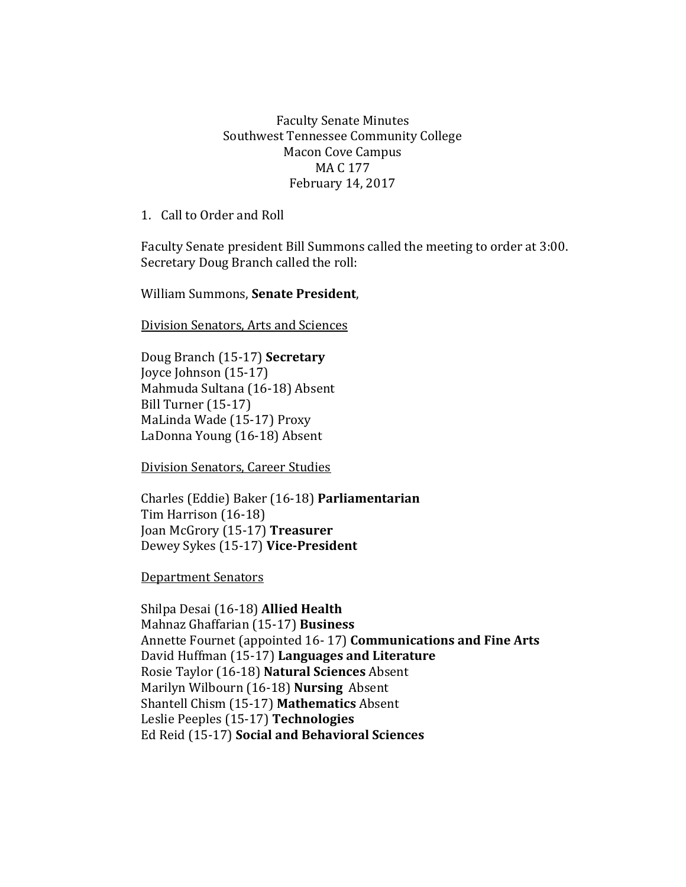## Faculty Senate Minutes Southwest Tennessee Community College Macon Cove Campus MA C 177 February 14, 2017

1. Call to Order and Roll

Faculty Senate president Bill Summons called the meeting to order at 3:00. Secretary Doug Branch called the roll:

William Summons, **Senate President**,

Division Senators, Arts and Sciences

Doug Branch (15-17) **Secretary** Joyce Johnson (15-17) Mahmuda Sultana (16-18) Absent Bill Turner (15-17) MaLinda Wade (15-17) Proxy LaDonna Young (16-18) Absent

Division Senators, Career Studies

Charles (Eddie) Baker (16-18) **Parliamentarian** Tim Harrison (16-18) Joan McGrory (15-17) **Treasurer** Dewey Sykes (15-17) **Vice-President**

Department Senators

Shilpa Desai (16-18) **Allied Health** Mahnaz Ghaffarian (15-17) **Business** Annette Fournet (appointed 16- 17) **Communications and Fine Arts** David Huffman (15-17) **Languages and Literature** Rosie Taylor (16-18) **Natural Sciences** Absent Marilyn Wilbourn (16-18) **Nursing** Absent Shantell Chism (15-17) **Mathematics** Absent Leslie Peeples (15-17) **Technologies**  Ed Reid (15-17) **Social and Behavioral Sciences**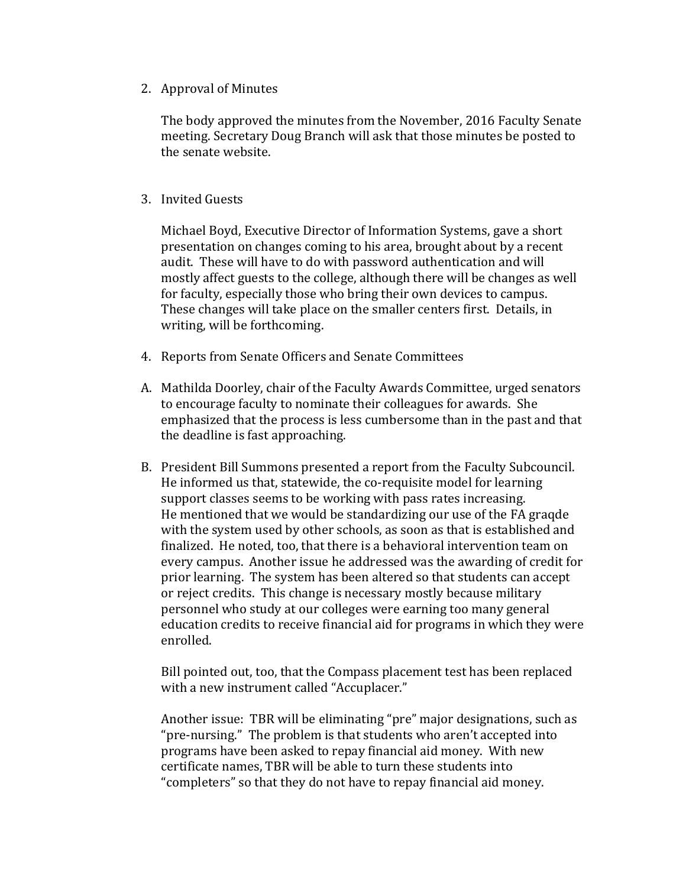2. Approval of Minutes

The body approved the minutes from the November, 2016 Faculty Senate meeting. Secretary Doug Branch will ask that those minutes be posted to the senate website.

## 3. Invited Guests

Michael Boyd, Executive Director of Information Systems, gave a short presentation on changes coming to his area, brought about by a recent audit. These will have to do with password authentication and will mostly affect guests to the college, although there will be changes as well for faculty, especially those who bring their own devices to campus. These changes will take place on the smaller centers first. Details, in writing, will be forthcoming.

- 4. Reports from Senate Officers and Senate Committees
- A. Mathilda Doorley, chair of the Faculty Awards Committee, urged senators to encourage faculty to nominate their colleagues for awards. She emphasized that the process is less cumbersome than in the past and that the deadline is fast approaching.
- B. President Bill Summons presented a report from the Faculty Subcouncil. He informed us that, statewide, the co-requisite model for learning support classes seems to be working with pass rates increasing. He mentioned that we would be standardizing our use of the FA graqde with the system used by other schools, as soon as that is established and finalized. He noted, too, that there is a behavioral intervention team on every campus. Another issue he addressed was the awarding of credit for prior learning. The system has been altered so that students can accept or reject credits. This change is necessary mostly because military personnel who study at our colleges were earning too many general education credits to receive financial aid for programs in which they were enrolled.

Bill pointed out, too, that the Compass placement test has been replaced with a new instrument called "Accuplacer."

Another issue: TBR will be eliminating "pre" major designations, such as "pre-nursing." The problem is that students who aren't accepted into programs have been asked to repay financial aid money. With new certificate names, TBR will be able to turn these students into "completers" so that they do not have to repay financial aid money.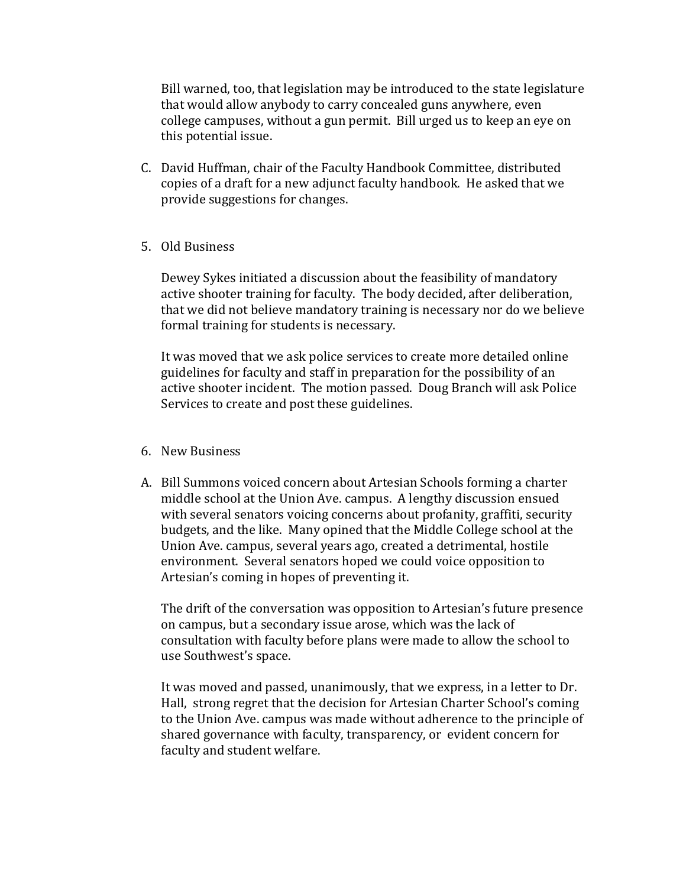Bill warned, too, that legislation may be introduced to the state legislature that would allow anybody to carry concealed guns anywhere, even college campuses, without a gun permit. Bill urged us to keep an eye on this potential issue.

- C. David Huffman, chair of the Faculty Handbook Committee, distributed copies of a draft for a new adjunct faculty handbook. He asked that we provide suggestions for changes.
- 5. Old Business

Dewey Sykes initiated a discussion about the feasibility of mandatory active shooter training for faculty. The body decided, after deliberation, that we did not believe mandatory training is necessary nor do we believe formal training for students is necessary.

It was moved that we ask police services to create more detailed online guidelines for faculty and staff in preparation for the possibility of an active shooter incident. The motion passed. Doug Branch will ask Police Services to create and post these guidelines.

- 6. New Business
- A. Bill Summons voiced concern about Artesian Schools forming a charter middle school at the Union Ave. campus. A lengthy discussion ensued with several senators voicing concerns about profanity, graffiti, security budgets, and the like. Many opined that the Middle College school at the Union Ave. campus, several years ago, created a detrimental, hostile environment. Several senators hoped we could voice opposition to Artesian's coming in hopes of preventing it.

The drift of the conversation was opposition to Artesian's future presence on campus, but a secondary issue arose, which was the lack of consultation with faculty before plans were made to allow the school to use Southwest's space.

It was moved and passed, unanimously, that we express, in a letter to Dr. Hall, strong regret that the decision for Artesian Charter School's coming to the Union Ave. campus was made without adherence to the principle of shared governance with faculty, transparency, or evident concern for faculty and student welfare.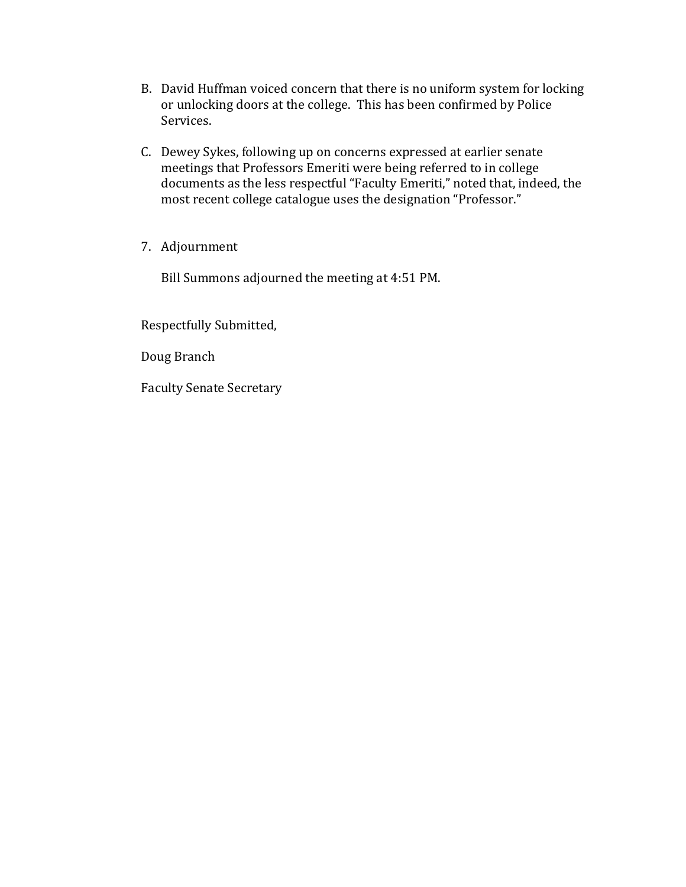- B. David Huffman voiced concern that there is no uniform system for locking or unlocking doors at the college. This has been confirmed by Police Services.
- C. Dewey Sykes, following up on concerns expressed at earlier senate meetings that Professors Emeriti were being referred to in college documents as the less respectful "Faculty Emeriti," noted that, indeed, the most recent college catalogue uses the designation "Professor."
- 7. Adjournment

Bill Summons adjourned the meeting at 4:51 PM.

Respectfully Submitted,

Doug Branch

Faculty Senate Secretary